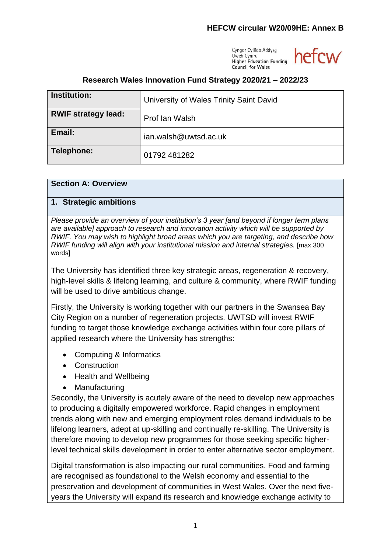Cyngor Cyllido Addysg Uwch Cymru **Higher Education Funding Council for Wales** 



# **Research Wales Innovation Fund Strategy 2020/21 – 2022/23**

| <b>Institution:</b>        | University of Wales Trinity Saint David |
|----------------------------|-----------------------------------------|
| <b>RWIF strategy lead:</b> | Prof lan Walsh                          |
| Email:                     | ian.walsh@uwtsd.ac.uk                   |
| Telephone:                 | 01792 481282                            |

#### **Section A: Overview**

#### **1. Strategic ambitions**

*Please provide an overview of your institution's 3 year [and beyond if longer term plans are available] approach to research and innovation activity which will be supported by RWIF. You may wish to highlight broad areas which you are targeting, and describe how RWIF funding will align with your institutional mission and internal strategies.* [max 300 words]

The University has identified three key strategic areas, regeneration & recovery, high-level skills & lifelong learning, and culture & community, where RWIF funding will be used to drive ambitious change.

Firstly, the University is working together with our partners in the Swansea Bay City Region on a number of regeneration projects. UWTSD will invest RWIF funding to target those knowledge exchange activities within four core pillars of applied research where the University has strengths:

- Computing & Informatics
- Construction
- Health and Wellbeing
- Manufacturing

Secondly, the University is acutely aware of the need to develop new approaches to producing a digitally empowered workforce. Rapid changes in employment trends along with new and emerging employment roles demand individuals to be lifelong learners, adept at up-skilling and continually re-skilling. The University is therefore moving to develop new programmes for those seeking specific higherlevel technical skills development in order to enter alternative sector employment.

Digital transformation is also impacting our rural communities. Food and farming are recognised as foundational to the Welsh economy and essential to the preservation and development of communities in West Wales. Over the next fiveyears the University will expand its research and knowledge exchange activity to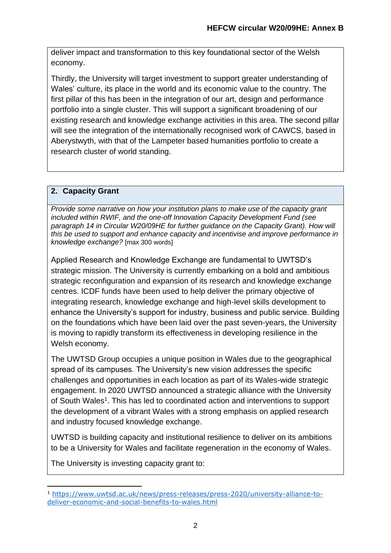deliver impact and transformation to this key foundational sector of the Welsh economy.

Thirdly, the University will target investment to support greater understanding of Wales' culture, its place in the world and its economic value to the country. The first pillar of this has been in the integration of our art, design and performance portfolio into a single cluster. This will support a significant broadening of our existing research and knowledge exchange activities in this area. The second pillar will see the integration of the internationally recognised work of CAWCS, based in Aberystwyth, with that of the Lampeter based humanities portfolio to create a research cluster of world standing.

# **2. Capacity Grant**

*Provide some narrative on how your institution plans to make use of the capacity grant included within RWIF, and the one-off Innovation Capacity Development Fund (see paragraph 14 in Circular W20/09HE for further guidance on the Capacity Grant). How will this be used to support and enhance capacity and incentivise and improve performance in knowledge exchange?* [max 300 words]

Applied Research and Knowledge Exchange are fundamental to UWTSD's strategic mission. The University is currently embarking on a bold and ambitious strategic reconfiguration and expansion of its research and knowledge exchange centres. ICDF funds have been used to help deliver the primary objective of integrating research, knowledge exchange and high-level skills development to enhance the University's support for industry, business and public service. Building on the foundations which have been laid over the past seven-years, the University is moving to rapidly transform its effectiveness in developing resilience in the Welsh economy.

The UWTSD Group occupies a unique position in Wales due to the geographical spread of its campuses. The University's new vision addresses the specific challenges and opportunities in each location as part of its Wales-wide strategic engagement. In 2020 UWTSD announced a strategic alliance with the University of South Wales<sup>1</sup>. This has led to coordinated action and interventions to support the development of a vibrant Wales with a strong emphasis on applied research and industry focused knowledge exchange.

UWTSD is building capacity and institutional resilience to deliver on its ambitions to be a University for Wales and facilitate regeneration in the economy of Wales.

The University is investing capacity grant to:

<sup>1</sup> [https://www.uwtsd.ac.uk/news/press-releases/press-2020/university-alliance-to](https://www.uwtsd.ac.uk/news/press-releases/press-2020/university-alliance-to-deliver-economic-and-social-benefits-to-wales.html)[deliver-economic-and-social-benefits-to-wales.html](https://www.uwtsd.ac.uk/news/press-releases/press-2020/university-alliance-to-deliver-economic-and-social-benefits-to-wales.html)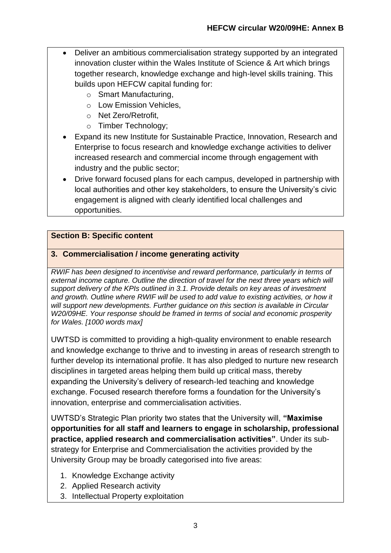- Deliver an ambitious commercialisation strategy supported by an integrated innovation cluster within the Wales Institute of Science & Art which brings together research, knowledge exchange and high-level skills training. This builds upon HEFCW capital funding for:
	- o Smart Manufacturing,
	- o Low Emission Vehicles,
	- o Net Zero/Retrofit,
	- o Timber Technology;
- Expand its new Institute for Sustainable Practice, Innovation, Research and Enterprise to focus research and knowledge exchange activities to deliver increased research and commercial income through engagement with industry and the public sector;
- Drive forward focused plans for each campus, developed in partnership with local authorities and other key stakeholders, to ensure the University's civic engagement is aligned with clearly identified local challenges and opportunities.

## **Section B: Specific content**

## **3. Commercialisation / income generating activity**

*RWIF has been designed to incentivise and reward performance, particularly in terms of external income capture. Outline the direction of travel for the next three years which will support delivery of the KPIs outlined in 3.1. Provide details on key areas of investment and growth. Outline where RWIF will be used to add value to existing activities, or how it will support new developments. Further guidance on this section is available in Circular W20/09HE. Your response should be framed in terms of social and economic prosperity for Wales. [1000 words max]*

UWTSD is committed to providing a high-quality environment to enable research and knowledge exchange to thrive and to investing in areas of research strength to further develop its international profile. It has also pledged to nurture new research disciplines in targeted areas helping them build up critical mass, thereby expanding the University's delivery of research‐led teaching and knowledge exchange. Focused research therefore forms a foundation for the University's innovation, enterprise and commercialisation activities.

UWTSD's Strategic Plan priority two states that the University will, **"Maximise opportunities for all staff and learners to engage in scholarship, professional practice, applied research and commercialisation activities"**. Under its substrategy for Enterprise and Commercialisation the activities provided by the University Group may be broadly categorised into five areas:

- 1. Knowledge Exchange activity
- 2. Applied Research activity
- 3. Intellectual Property exploitation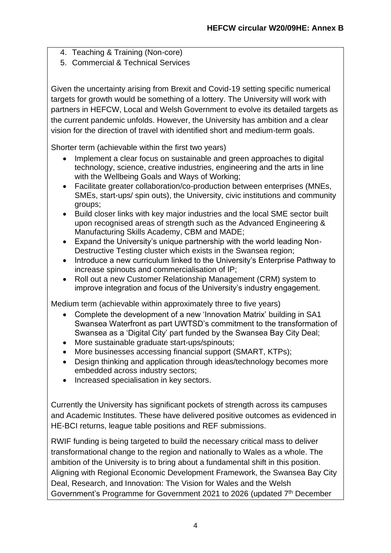- 4. Teaching & Training (Non-core)
- 5. Commercial & Technical Services

Given the uncertainty arising from Brexit and Covid-19 setting specific numerical targets for growth would be something of a lottery. The University will work with partners in HEFCW, Local and Welsh Government to evolve its detailed targets as the current pandemic unfolds. However, the University has ambition and a clear vision for the direction of travel with identified short and medium-term goals.

Shorter term (achievable within the first two years)

- Implement a clear focus on sustainable and green approaches to digital technology, science, creative industries, engineering and the arts in line with the Wellbeing Goals and Ways of Working;
- Facilitate greater collaboration/co-production between enterprises (MNEs, SMEs, start-ups/ spin outs), the University, civic institutions and community groups;
- Build closer links with key major industries and the local SME sector built upon recognised areas of strength such as the Advanced Engineering & Manufacturing Skills Academy, CBM and MADE;
- Expand the University's unique partnership with the world leading Non-Destructive Testing cluster which exists in the Swansea region;
- Introduce a new curriculum linked to the University's Enterprise Pathway to increase spinouts and commercialisation of IP;
- Roll out a new Customer Relationship Management (CRM) system to improve integration and focus of the University's industry engagement.

Medium term (achievable within approximately three to five years)

- Complete the development of a new 'Innovation Matrix' building in SA1 Swansea Waterfront as part UWTSD's commitment to the transformation of Swansea as a 'Digital City' part funded by the Swansea Bay City Deal;
- More sustainable graduate start-ups/spinouts;
- More businesses accessing financial support (SMART, KTPs);
- Design thinking and application through ideas/technology becomes more embedded across industry sectors;
- Increased specialisation in key sectors.

Currently the University has significant pockets of strength across its campuses and Academic Institutes. These have delivered positive outcomes as evidenced in HE-BCI returns, league table positions and REF submissions.

RWIF funding is being targeted to build the necessary critical mass to deliver transformational change to the region and nationally to Wales as a whole. The ambition of the University is to bring about a fundamental shift in this position. Aligning with Regional Economic Development Framework, the Swansea Bay City Deal, Research, and Innovation: The Vision for Wales and the Welsh Government's Programme for Government 2021 to 2026 (updated 7<sup>th</sup> December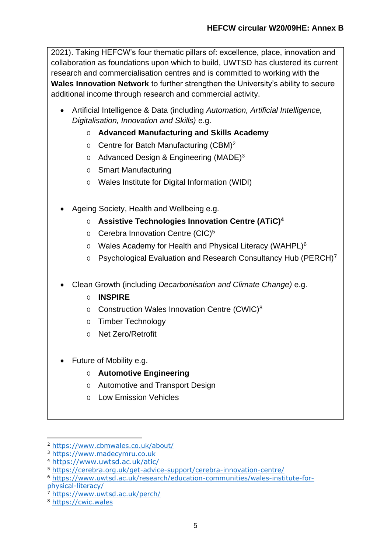2021). Taking HEFCW's four thematic pillars of: excellence, place, innovation and collaboration as foundations upon which to build, UWTSD has clustered its current research and commercialisation centres and is committed to working with the **Wales Innovation Network** to further strengthen the University's ability to secure additional income through research and commercial activity.

- Artificial Intelligence & Data (including *Automation, Artificial Intelligence, Digitalisation, Innovation and Skills)* e.g.
	- o **Advanced Manufacturing and Skills Academy**
	- o Centre for Batch Manufacturing (CBM)<sup>2</sup>
	- o Advanced Design & Engineering (MADE)<sup>3</sup>
	- o Smart Manufacturing
	- o Wales Institute for Digital Information (WIDI)
- Ageing Society, Health and Wellbeing e.g.
	- o **Assistive Technologies Innovation Centre (ATiC)<sup>4</sup>**
	- o Cerebra Innovation Centre (CIC)<sup>5</sup>
	- o Wales Academy for Health and Physical Literacy (WAHPL)<sup>6</sup>
	- o Psychological Evaluation and Research Consultancy Hub (PERCH)<sup>7</sup>
- Clean Growth (including *Decarbonisation and Climate Change)* e.g.
	- o **INSPIRE**
	- o Construction Wales Innovation Centre (CWIC)<sup>8</sup>
	- o Timber Technology
	- o Net Zero/Retrofit
- Future of Mobility e.g.

## o **Automotive Engineering**

- o Automotive and Transport Design
- o Low Emission Vehicles

[physical-literacy/](https://www.uwtsd.ac.uk/research/education-communities/wales-institute-for-physical-literacy/)

<sup>2</sup> <https://www.cbmwales.co.uk/about/>

<sup>3</sup> [https://www.madecymru.co.uk](https://www.madecymru.co.uk/)

<sup>4</sup> <https://www.uwtsd.ac.uk/atic/>

<sup>5</sup> <https://cerebra.org.uk/get-advice-support/cerebra-innovation-centre/>

<sup>6</sup> [https://www.uwtsd.ac.uk/research/education-communities/wales-institute-for-](https://www.uwtsd.ac.uk/research/education-communities/wales-institute-for-physical-literacy/)

<sup>7</sup> <https://www.uwtsd.ac.uk/perch/>

<sup>8</sup> [https://cwic.wales](https://cwic.wales/)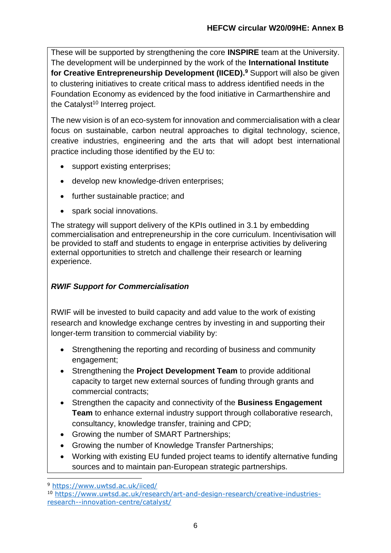These will be supported by strengthening the core **INSPIRE** team at the University. The development will be underpinned by the work of the **International Institute for Creative Entrepreneurship Development (IICED). <sup>9</sup>** Support will also be given to clustering initiatives to create critical mass to address identified needs in the Foundation Economy as evidenced by the food initiative in Carmarthenshire and the Catalyst<sup>10</sup> Interreg project.

The new vision is of an eco-system for innovation and commercialisation with a clear focus on sustainable, carbon neutral approaches to digital technology, science, creative industries, engineering and the arts that will adopt best international practice including those identified by the EU to:

- support existing enterprises;
- develop new knowledge-driven enterprises;
- further sustainable practice; and
- spark social innovations.

The strategy will support delivery of the KPIs outlined in 3.1 by embedding commercialisation and entrepreneurship in the core curriculum. Incentivisation will be provided to staff and students to engage in enterprise activities by delivering external opportunities to stretch and challenge their research or learning experience.

# *RWIF Support for Commercialisation*

RWIF will be invested to build capacity and add value to the work of existing research and knowledge exchange centres by investing in and supporting their longer-term transition to commercial viability by:

- Strengthening the reporting and recording of business and community engagement;
- Strengthening the **Project Development Team** to provide additional capacity to target new external sources of funding through grants and commercial contracts;
- Strengthen the capacity and connectivity of the **Business Engagement Team** to enhance external industry support through collaborative research, consultancy, knowledge transfer, training and CPD;
- Growing the number of SMART Partnerships;
- Growing the number of Knowledge Transfer Partnerships;
- Working with existing EU funded project teams to identify alternative funding sources and to maintain pan-European strategic partnerships.

<sup>9</sup> <https://www.uwtsd.ac.uk/iiced/>

<sup>10</sup> [https://www.uwtsd.ac.uk/research/art-and-design-research/creative-industries](https://www.uwtsd.ac.uk/research/art-and-design-research/creative-industries-research--innovation-centre/catalyst/)[research--innovation-centre/catalyst/](https://www.uwtsd.ac.uk/research/art-and-design-research/creative-industries-research--innovation-centre/catalyst/)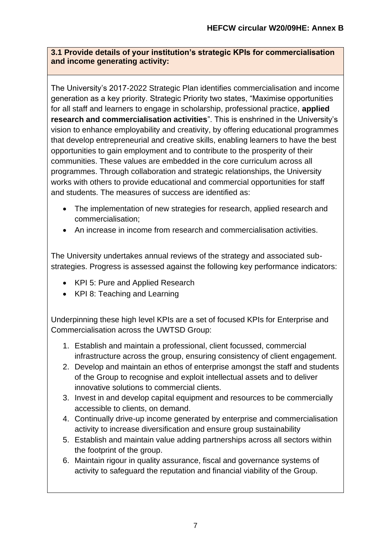## **3.1 Provide details of your institution's strategic KPIs for commercialisation and income generating activity:**

The University's 2017-2022 Strategic Plan identifies commercialisation and income generation as a key priority. Strategic Priority two states, "Maximise opportunities for all staff and learners to engage in scholarship, professional practice, **applied research and commercialisation activities**". This is enshrined in the University's vision to enhance employability and creativity, by offering educational programmes that develop entrepreneurial and creative skills, enabling learners to have the best opportunities to gain employment and to contribute to the prosperity of their communities. These values are embedded in the core curriculum across all programmes. Through collaboration and strategic relationships, the University works with others to provide educational and commercial opportunities for staff and students. The measures of success are identified as:

- The implementation of new strategies for research, applied research and commercialisation;
- An increase in income from research and commercialisation activities.

The University undertakes annual reviews of the strategy and associated substrategies. Progress is assessed against the following key performance indicators:

- KPI 5: Pure and Applied Research
- KPI 8: Teaching and Learning

Underpinning these high level KPIs are a set of focused KPIs for Enterprise and Commercialisation across the UWTSD Group:

- 1. Establish and maintain a professional, client focussed, commercial infrastructure across the group, ensuring consistency of client engagement.
- 2. Develop and maintain an ethos of enterprise amongst the staff and students of the Group to recognise and exploit intellectual assets and to deliver innovative solutions to commercial clients.
- 3. Invest in and develop capital equipment and resources to be commercially accessible to clients, on demand.
- 4. Continually drive-up income generated by enterprise and commercialisation activity to increase diversification and ensure group sustainability
- 5. Establish and maintain value adding partnerships across all sectors within the footprint of the group.
- 6. Maintain rigour in quality assurance, fiscal and governance systems of activity to safeguard the reputation and financial viability of the Group.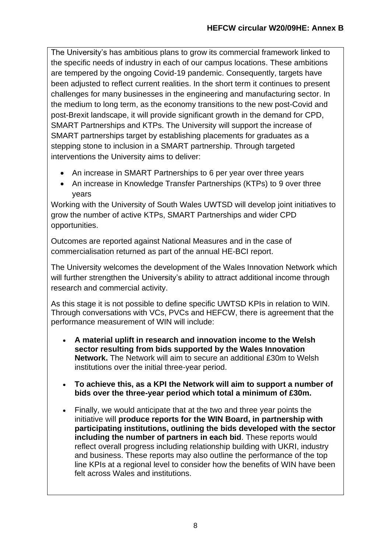The University's has ambitious plans to grow its commercial framework linked to the specific needs of industry in each of our campus locations. These ambitions are tempered by the ongoing Covid-19 pandemic. Consequently, targets have been adjusted to reflect current realities. In the short term it continues to present challenges for many businesses in the engineering and manufacturing sector. In the medium to long term, as the economy transitions to the new post-Covid and post-Brexit landscape, it will provide significant growth in the demand for CPD, SMART Partnerships and KTPs. The University will support the increase of SMART partnerships target by establishing placements for graduates as a stepping stone to inclusion in a SMART partnership. Through targeted interventions the University aims to deliver:

- An increase in SMART Partnerships to 6 per year over three years
- An increase in Knowledge Transfer Partnerships (KTPs) to 9 over three years

Working with the University of South Wales UWTSD will develop joint initiatives to grow the number of active KTPs, SMART Partnerships and wider CPD opportunities.

Outcomes are reported against National Measures and in the case of commercialisation returned as part of the annual HE-BCI report.

The University welcomes the development of the Wales Innovation Network which will further strengthen the University's ability to attract additional income through research and commercial activity.

As this stage it is not possible to define specific UWTSD KPIs in relation to WIN. Through conversations with VCs, PVCs and HEFCW, there is agreement that the performance measurement of WIN will include:

- **A material uplift in research and innovation income to the Welsh sector resulting from bids supported by the Wales Innovation Network.** The Network will aim to secure an additional £30m to Welsh institutions over the initial three-year period.
- **To achieve this, as a KPI the Network will aim to support a number of bids over the three-year period which total a minimum of £30m.**
- Finally, we would anticipate that at the two and three year points the initiative will **produce reports for the WIN Board, in partnership with participating institutions, outlining the bids developed with the sector including the number of partners in each bid**. These reports would reflect overall progress including relationship building with UKRI, industry and business. These reports may also outline the performance of the top line KPIs at a regional level to consider how the benefits of WIN have been felt across Wales and institutions.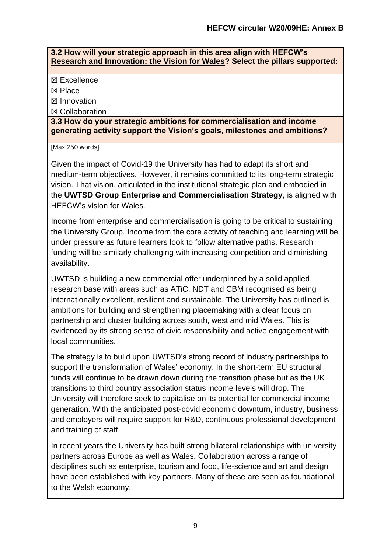#### **3.2 How will your strategic approach in this area align with HEFCW's [Research and Innovation: the Vision for Wales?](https://www.hefcw.ac.uk/documents/publications/hefcw_reports_and_statistics/Research%20and%20Innovation%20the%20vision%20for%20Wales%20English.pdf) Select the pillars supported:**

☒ Excellence

☒ Place

☒ Innovation

☒ Collaboration

**3.3 How do your strategic ambitions for commercialisation and income generating activity support the Vision's goals, milestones and ambitions?** 

[Max 250 words]

Given the impact of Covid-19 the University has had to adapt its short and medium-term objectives. However, it remains committed to its long-term strategic vision. That vision, articulated in the institutional strategic plan and embodied in the **UWTSD Group Enterprise and Commercialisation Strategy**, is aligned with HEFCW's vision for Wales.

Income from enterprise and commercialisation is going to be critical to sustaining the University Group. Income from the core activity of teaching and learning will be under pressure as future learners look to follow alternative paths. Research funding will be similarly challenging with increasing competition and diminishing availability.

UWTSD is building a new commercial offer underpinned by a solid applied research base with areas such as ATiC, NDT and CBM recognised as being internationally excellent, resilient and sustainable. The University has outlined is ambitions for building and strengthening placemaking with a clear focus on partnership and cluster building across south, west and mid Wales. This is evidenced by its strong sense of civic responsibility and active engagement with local communities.

The strategy is to build upon UWTSD's strong record of industry partnerships to support the transformation of Wales' economy. In the short-term EU structural funds will continue to be drawn down during the transition phase but as the UK transitions to third country association status income levels will drop. The University will therefore seek to capitalise on its potential for commercial income generation. With the anticipated post-covid economic downturn, industry, business and employers will require support for R&D, continuous professional development and training of staff.

In recent years the University has built strong bilateral relationships with university partners across Europe as well as Wales. Collaboration across a range of disciplines such as enterprise, tourism and food, life-science and art and design have been established with key partners. Many of these are seen as foundational to the Welsh economy.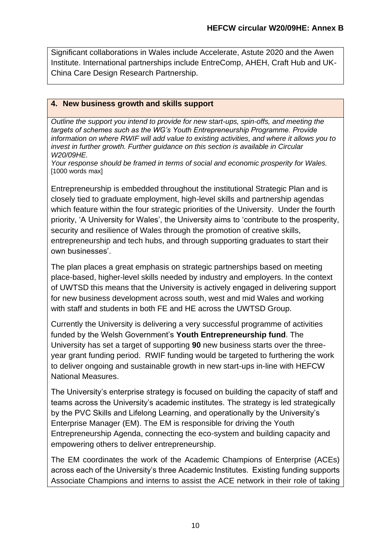Significant collaborations in Wales include Accelerate, Astute 2020 and the Awen Institute. International partnerships include EntreComp, AHEH, Craft Hub and UK-China Care Design Research Partnership.

## **4. New business growth and skills support**

*Outline the support you intend to provide for new start-ups, spin-offs, and meeting the targets of schemes such as the WG's Youth Entrepreneurship Programme. Provide information on where RWIF will add value to existing activities, and where it allows you to invest in further growth. Further guidance on this section is available in Circular W20/09HE.*

*Your response should be framed in terms of social and economic prosperity for Wales.*  [1000 words max]

Entrepreneurship is embedded throughout the institutional Strategic Plan and is closely tied to graduate employment, high-level skills and partnership agendas which feature within the four strategic priorities of the University. Under the fourth priority, 'A University for Wales', the University aims to 'contribute to the prosperity, security and resilience of Wales through the promotion of creative skills, entrepreneurship and tech hubs, and through supporting graduates to start their own businesses'.

The plan places a great emphasis on strategic partnerships based on meeting place-based, higher-level skills needed by industry and employers. In the context of UWTSD this means that the University is actively engaged in delivering support for new business development across south, west and mid Wales and working with staff and students in both FE and HE across the UWTSD Group.

Currently the University is delivering a very successful programme of activities funded by the Welsh Government's **Youth Entrepreneurship fund**. The University has set a target of supporting **90** new business starts over the threeyear grant funding period. RWIF funding would be targeted to furthering the work to deliver ongoing and sustainable growth in new start-ups in-line with HEFCW National Measures.

The University's enterprise strategy is focused on building the capacity of staff and teams across the University's academic institutes. The strategy is led strategically by the PVC Skills and Lifelong Learning, and operationally by the University's Enterprise Manager (EM). The EM is responsible for driving the Youth Entrepreneurship Agenda, connecting the eco-system and building capacity and empowering others to deliver entrepreneurship.

The EM coordinates the work of the Academic Champions of Enterprise (ACEs) across each of the University's three Academic Institutes. Existing funding supports Associate Champions and interns to assist the ACE network in their role of taking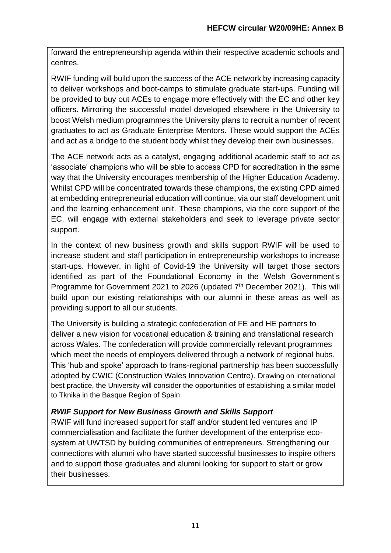forward the entrepreneurship agenda within their respective academic schools and centres.

RWIF funding will build upon the success of the ACE network by increasing capacity to deliver workshops and boot-camps to stimulate graduate start-ups. Funding will be provided to buy out ACEs to engage more effectively with the EC and other key officers. Mirroring the successful model developed elsewhere in the University to boost Welsh medium programmes the University plans to recruit a number of recent graduates to act as Graduate Enterprise Mentors. These would support the ACEs and act as a bridge to the student body whilst they develop their own businesses.

The ACE network acts as a catalyst, engaging additional academic staff to act as 'associate' champions who will be able to access CPD for accreditation in the same way that the University encourages membership of the Higher Education Academy. Whilst CPD will be concentrated towards these champions, the existing CPD aimed at embedding entrepreneurial education will continue, via our staff development unit and the learning enhancement unit. These champions, via the core support of the EC, will engage with external stakeholders and seek to leverage private sector support.

In the context of new business growth and skills support RWIF will be used to increase student and staff participation in entrepreneurship workshops to increase start-ups. However, in light of Covid-19 the University will target those sectors identified as part of the Foundational Economy in the Welsh Government's Programme for Government 2021 to 2026 (updated 7<sup>th</sup> December 2021). This will build upon our existing relationships with our alumni in these areas as well as providing support to all our students.

The University is building a strategic confederation of FE and HE partners to deliver a new vision for vocational education & training and translational research across Wales. The confederation will provide commercially relevant programmes which meet the needs of employers delivered through a network of regional hubs. This 'hub and spoke' approach to trans-regional partnership has been successfully adopted by CWIC (Construction Wales Innovation Centre). Drawing on international best practice, the University will consider the opportunities of establishing a similar model to Tknika in the Basque Region of Spain.

# *RWIF Support for New Business Growth and Skills Support*

RWIF will fund increased support for staff and/or student led ventures and IP commercialisation and facilitate the further development of the enterprise ecosystem at UWTSD by building communities of entrepreneurs. Strengthening our connections with alumni who have started successful businesses to inspire others and to support those graduates and alumni looking for support to start or grow their businesses.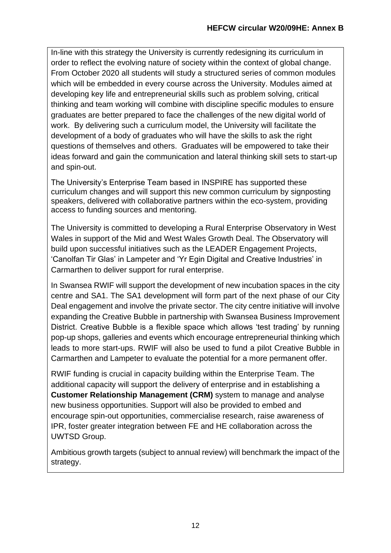In-line with this strategy the University is currently redesigning its curriculum in order to reflect the evolving nature of society within the context of global change. From October 2020 all students will study a structured series of common modules which will be embedded in every course across the University. Modules aimed at developing key life and entrepreneurial skills such as problem solving, critical thinking and team working will combine with discipline specific modules to ensure graduates are better prepared to face the challenges of the new digital world of work. By delivering such a curriculum model, the University will facilitate the development of a body of graduates who will have the skills to ask the right questions of themselves and others. Graduates will be empowered to take their ideas forward and gain the communication and lateral thinking skill sets to start-up and spin-out.

The University's Enterprise Team based in INSPIRE has supported these curriculum changes and will support this new common curriculum by signposting speakers, delivered with collaborative partners within the eco-system, providing access to funding sources and mentoring.

The University is committed to developing a Rural Enterprise Observatory in West Wales in support of the Mid and West Wales Growth Deal. The Observatory will build upon successful initiatives such as the LEADER Engagement Projects, 'Canolfan Tir Glas' in Lampeter and 'Yr Egin Digital and Creative Industries' in Carmarthen to deliver support for rural enterprise.

In Swansea RWIF will support the development of new incubation spaces in the city centre and SA1. The SA1 development will form part of the next phase of our City Deal engagement and involve the private sector. The city centre initiative will involve expanding the Creative Bubble in partnership with Swansea Business Improvement District. Creative Bubble is a flexible space which allows 'test trading' by running pop-up shops, galleries and events which encourage entrepreneurial thinking which leads to more start-ups. RWIF will also be used to fund a pilot Creative Bubble in Carmarthen and Lampeter to evaluate the potential for a more permanent offer.

RWIF funding is crucial in capacity building within the Enterprise Team. The additional capacity will support the delivery of enterprise and in establishing a **Customer Relationship Management (CRM)** system to manage and analyse new business opportunities. Support will also be provided to embed and encourage spin-out opportunities, commercialise research, raise awareness of IPR, foster greater integration between FE and HE collaboration across the UWTSD Group.

Ambitious growth targets (subject to annual review) will benchmark the impact of the strategy.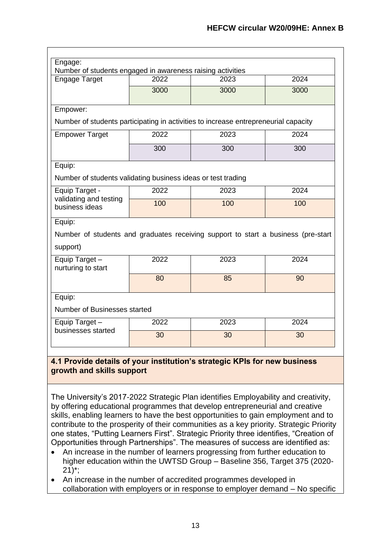| Engage:                                                                             |      |      |      |  |  |
|-------------------------------------------------------------------------------------|------|------|------|--|--|
| Number of students engaged in awareness raising activities                          |      |      |      |  |  |
| <b>Engage Target</b>                                                                | 2022 | 2023 | 2024 |  |  |
|                                                                                     | 3000 | 3000 | 3000 |  |  |
| Empower:                                                                            |      |      |      |  |  |
| Number of students participating in activities to increase entrepreneurial capacity |      |      |      |  |  |
| <b>Empower Target</b>                                                               | 2022 | 2023 | 2024 |  |  |
|                                                                                     | 300  | 300  | 300  |  |  |
| Equip:                                                                              |      |      |      |  |  |
| Number of students validating business ideas or test trading                        |      |      |      |  |  |
| Equip Target -                                                                      | 2022 | 2023 | 2024 |  |  |
| validating and testing<br>business ideas                                            | 100  | 100  | 100  |  |  |
| Equip:                                                                              |      |      |      |  |  |
| Number of students and graduates receiving support to start a business (pre-start   |      |      |      |  |  |
| support)                                                                            |      |      |      |  |  |
| Equip Target -<br>nurturing to start                                                | 2022 | 2023 | 2024 |  |  |
|                                                                                     |      |      |      |  |  |
|                                                                                     | 80   | 85   | 90   |  |  |
| Equip:                                                                              |      |      |      |  |  |
| Number of Businesses started                                                        |      |      |      |  |  |
| Equip Target -                                                                      | 2022 | 2023 | 2024 |  |  |
| businesses started                                                                  | 30   | 30   | 30   |  |  |

#### **growth and skills support**

The University's 2017-2022 Strategic Plan identifies Employability and creativity, by offering educational programmes that develop entrepreneurial and creative skills, enabling learners to have the best opportunities to gain employment and to contribute to the prosperity of their communities as a key priority. Strategic Priority one states, "Putting Learners First". Strategic Priority three identifies, "Creation of Opportunities through Partnerships". The measures of success are identified as:

- An increase in the number of learners progressing from further education to higher education within the UWTSD Group – Baseline 356, Target 375 (2020-  $21$ <sup>\*</sup>;
- An increase in the number of accredited programmes developed in collaboration with employers or in response to employer demand – No specific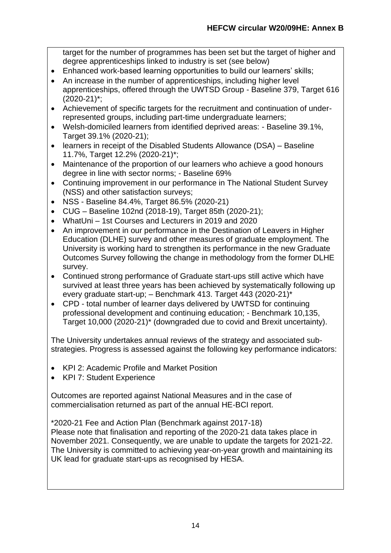target for the number of programmes has been set but the target of higher and degree apprenticeships linked to industry is set (see below)

- Enhanced work-based learning opportunities to build our learners' skills;
- An increase in the number of apprenticeships, including higher level apprenticeships, offered through the UWTSD Group - Baseline 379, Target 616 (2020-21)\*;
- Achievement of specific targets for the recruitment and continuation of underrepresented groups, including part-time undergraduate learners;
- Welsh-domiciled learners from identified deprived areas: Baseline 39.1%, Target 39.1% (2020-21);
- learners in receipt of the Disabled Students Allowance (DSA) Baseline 11.7%, Target 12.2% (2020-21)\*;
- Maintenance of the proportion of our learners who achieve a good honours degree in line with sector norms; - Baseline 69%
- Continuing improvement in our performance in The National Student Survey (NSS) and other satisfaction surveys;
- NSS Baseline 84.4%, Target 86.5% (2020-21)
- CUG Baseline 102nd (2018-19), Target 85th (2020-21);
- WhatUni 1st Courses and Lecturers in 2019 and 2020
- An improvement in our performance in the Destination of Leavers in Higher Education (DLHE) survey and other measures of graduate employment. The University is working hard to strengthen its performance in the new Graduate Outcomes Survey following the change in methodology from the former DLHE survey.
- Continued strong performance of Graduate start-ups still active which have survived at least three years has been achieved by systematically following up every graduate start-up; – Benchmark 413. Target 443 (2020-21)\*
- CPD total number of learner days delivered by UWTSD for continuing professional development and continuing education; - Benchmark 10,135, Target 10,000 (2020-21)\* (downgraded due to covid and Brexit uncertainty).

The University undertakes annual reviews of the strategy and associated substrategies. Progress is assessed against the following key performance indicators:

- KPI 2: Academic Profile and Market Position
- KPI 7: Student Experience

Outcomes are reported against National Measures and in the case of commercialisation returned as part of the annual HE-BCI report.

\*2020-21 Fee and Action Plan (Benchmark against 2017-18) Please note that finalisation and reporting of the 2020-21 data takes place in November 2021. Consequently, we are unable to update the targets for 2021-22. The University is committed to achieving year-on-year growth and maintaining its UK lead for graduate start-ups as recognised by HESA.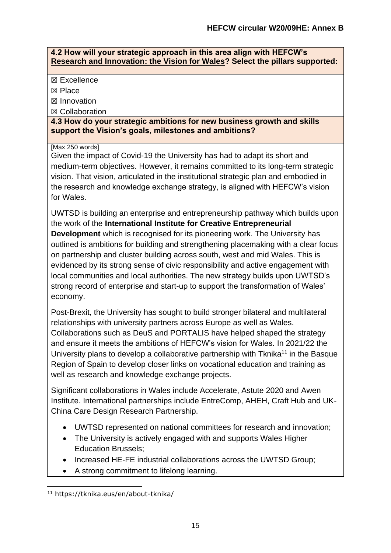#### **4.2 How will your strategic approach in this area align with HEFCW's [Research and Innovation: the Vision for Wales?](https://www.hefcw.ac.uk/documents/publications/hefcw_reports_and_statistics/Research%20and%20Innovation%20the%20vision%20for%20Wales%20English.pdf) Select the pillars supported:**

☒ Excellence

☒ Place

☒ Innovation

☒ Collaboration

**4.3 How do your strategic ambitions for new business growth and skills support the Vision's goals, milestones and ambitions?** 

[Max 250 words]

Given the impact of Covid-19 the University has had to adapt its short and medium-term objectives. However, it remains committed to its long-term strategic vision. That vision, articulated in the institutional strategic plan and embodied in the research and knowledge exchange strategy, is aligned with HEFCW's vision for Wales.

UWTSD is building an enterprise and entrepreneurship pathway which builds upon the work of the **International Institute for Creative Entrepreneurial Development** which is recognised for its pioneering work. The University has outlined is ambitions for building and strengthening placemaking with a clear focus on partnership and cluster building across south, west and mid Wales. This is evidenced by its strong sense of civic responsibility and active engagement with local communities and local authorities. The new strategy builds upon UWTSD's strong record of enterprise and start-up to support the transformation of Wales' economy.

Post-Brexit, the University has sought to build stronger bilateral and multilateral relationships with university partners across Europe as well as Wales. Collaborations such as DeuS and PORTALIS have helped shaped the strategy and ensure it meets the ambitions of HEFCW's vision for Wales. In 2021/22 the University plans to develop a collaborative partnership with  $T$ knika<sup>11</sup> in the Basque Region of Spain to develop closer links on vocational education and training as well as research and knowledge exchange projects.

Significant collaborations in Wales include Accelerate, Astute 2020 and Awen Institute. International partnerships include EntreComp, AHEH, Craft Hub and UK-China Care Design Research Partnership.

- UWTSD represented on national committees for research and innovation;
- The University is actively engaged with and supports Wales Higher Education Brussels;
- Increased HE-FE industrial collaborations across the UWTSD Group;
- A strong commitment to lifelong learning.

<sup>11</sup> https://tknika.eus/en/about-tknika/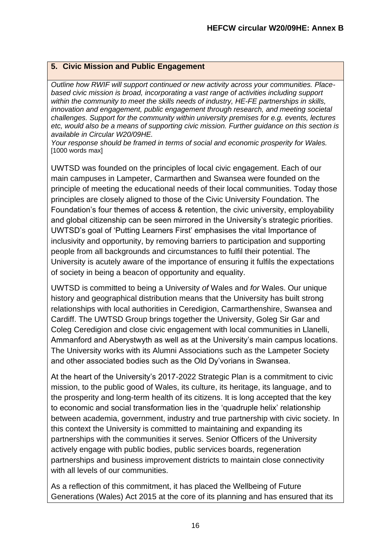## **5. Civic Mission and Public Engagement**

*Outline how RWIF will support continued or new activity across your communities. Placebased civic mission is broad, incorporating a vast range of activities including support within the community to meet the skills needs of industry, HE-FE partnerships in skills, innovation and engagement, public engagement through research, and meeting societal challenges. Support for the community within university premises for e.g. events, lectures etc, would also be a means of supporting civic mission. Further guidance on this section is available in Circular W20/09HE.*

*Your response should be framed in terms of social and economic prosperity for Wales.*  [1000 words max]

UWTSD was founded on the principles of local civic engagement. Each of our main campuses in Lampeter, Carmarthen and Swansea were founded on the principle of meeting the educational needs of their local communities. Today those principles are closely aligned to those of the Civic University Foundation. The Foundation's four themes of access & retention, the civic university, employability and global citizenship can be seen mirrored in the University's strategic priorities. UWTSD's goal of 'Putting Learners First' emphasises the vital Importance of inclusivity and opportunity, by removing barriers to participation and supporting people from all backgrounds and circumstances to fulfil their potential. The University is acutely aware of the importance of ensuring it fulfils the expectations of society in being a beacon of opportunity and equality.

UWTSD is committed to being a University *of* Wales and *for* Wales. Our unique history and geographical distribution means that the University has built strong relationships with local authorities in Ceredigion, Carmarthenshire, Swansea and Cardiff. The UWTSD Group brings together the University, Goleg Sir Gar and Coleg Ceredigion and close civic engagement with local communities in Llanelli, Ammanford and Aberystwyth as well as at the University's main campus locations. The University works with its Alumni Associations such as the Lampeter Society and other associated bodies such as the Old Dy'vorians in Swansea.

At the heart of the University's 2017-2022 Strategic Plan is a commitment to civic mission, to the public good of Wales, its culture, its heritage, its language, and to the prosperity and long-term health of its citizens. It is long accepted that the key to economic and social transformation lies in the 'quadruple helix' relationship between academia, government, industry and true partnership with civic society. In this context the University is committed to maintaining and expanding its partnerships with the communities it serves. Senior Officers of the University actively engage with public bodies, public services boards, regeneration partnerships and business improvement districts to maintain close connectivity with all levels of our communities.

As a reflection of this commitment, it has placed the Wellbeing of Future Generations (Wales) Act 2015 at the core of its planning and has ensured that its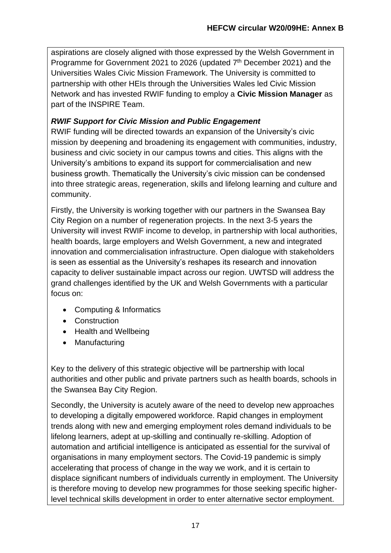aspirations are closely aligned with those expressed by the Welsh Government in Programme for Government 2021 to 2026 (updated 7<sup>th</sup> December 2021) and the Universities Wales Civic Mission Framework. The University is committed to partnership with other HEIs through the Universities Wales led Civic Mission Network and has invested RWIF funding to employ a **Civic Mission Manager** as part of the INSPIRE Team.

# *RWIF Support for Civic Mission and Public Engagement*

RWIF funding will be directed towards an expansion of the University's civic mission by deepening and broadening its engagement with communities, industry, business and civic society in our campus towns and cities. This aligns with the University's ambitions to expand its support for commercialisation and new business growth. Thematically the University's civic mission can be condensed into three strategic areas, regeneration, skills and lifelong learning and culture and community.

Firstly, the University is working together with our partners in the Swansea Bay City Region on a number of regeneration projects. In the next 3-5 years the University will invest RWIF income to develop, in partnership with local authorities, health boards, large employers and Welsh Government, a new and integrated innovation and commercialisation infrastructure. Open dialogue with stakeholders is seen as essential as the University's reshapes its research and innovation capacity to deliver sustainable impact across our region. UWTSD will address the grand challenges identified by the UK and Welsh Governments with a particular focus on:

- Computing & Informatics
- Construction
- Health and Wellbeing
- Manufacturing

Key to the delivery of this strategic objective will be partnership with local authorities and other public and private partners such as health boards, schools in the Swansea Bay City Region.

Secondly, the University is acutely aware of the need to develop new approaches to developing a digitally empowered workforce. Rapid changes in employment trends along with new and emerging employment roles demand individuals to be lifelong learners, adept at up-skilling and continually re-skilling. Adoption of automation and artificial intelligence is anticipated as essential for the survival of organisations in many employment sectors. The Covid-19 pandemic is simply accelerating that process of change in the way we work, and it is certain to displace significant numbers of individuals currently in employment. The University is therefore moving to develop new programmes for those seeking specific higherlevel technical skills development in order to enter alternative sector employment.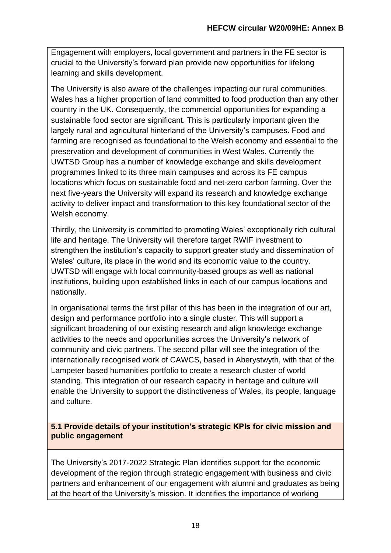Engagement with employers, local government and partners in the FE sector is crucial to the University's forward plan provide new opportunities for lifelong learning and skills development.

The University is also aware of the challenges impacting our rural communities. Wales has a higher proportion of land committed to food production than any other country in the UK. Consequently, the commercial opportunities for expanding a sustainable food sector are significant. This is particularly important given the largely rural and agricultural hinterland of the University's campuses. Food and farming are recognised as foundational to the Welsh economy and essential to the preservation and development of communities in West Wales. Currently the UWTSD Group has a number of knowledge exchange and skills development programmes linked to its three main campuses and across its FE campus locations which focus on sustainable food and net-zero carbon farming. Over the next five-years the University will expand its research and knowledge exchange activity to deliver impact and transformation to this key foundational sector of the Welsh economy.

Thirdly, the University is committed to promoting Wales' exceptionally rich cultural life and heritage. The University will therefore target RWIF investment to strengthen the institution's capacity to support greater study and dissemination of Wales' culture, its place in the world and its economic value to the country. UWTSD will engage with local community-based groups as well as national institutions, building upon established links in each of our campus locations and nationally.

In organisational terms the first pillar of this has been in the integration of our art, design and performance portfolio into a single cluster. This will support a significant broadening of our existing research and align knowledge exchange activities to the needs and opportunities across the University's network of community and civic partners. The second pillar will see the integration of the internationally recognised work of CAWCS, based in Aberystwyth, with that of the Lampeter based humanities portfolio to create a research cluster of world standing. This integration of our research capacity in heritage and culture will enable the University to support the distinctiveness of Wales, its people, language and culture.

**5.1 Provide details of your institution's strategic KPIs for civic mission and public engagement**

The University's 2017-2022 Strategic Plan identifies support for the economic development of the region through strategic engagement with business and civic partners and enhancement of our engagement with alumni and graduates as being at the heart of the University's mission. It identifies the importance of working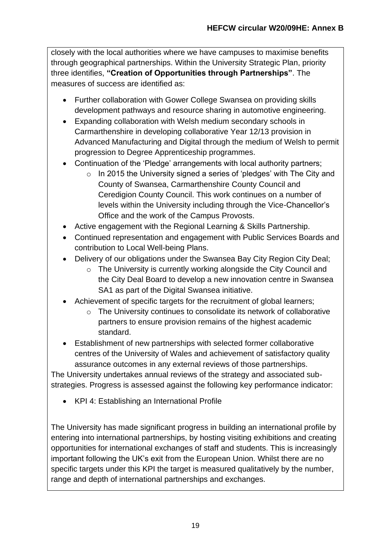closely with the local authorities where we have campuses to maximise benefits through geographical partnerships. Within the University Strategic Plan, priority three identifies, **"Creation of Opportunities through Partnerships"**. The measures of success are identified as:

- Further collaboration with Gower College Swansea on providing skills development pathways and resource sharing in automotive engineering.
- Expanding collaboration with Welsh medium secondary schools in Carmarthenshire in developing collaborative Year 12/13 provision in Advanced Manufacturing and Digital through the medium of Welsh to permit progression to Degree Apprenticeship programmes.
- Continuation of the 'Pledge' arrangements with local authority partners:
	- $\circ$  In 2015 the University signed a series of 'pledges' with The City and County of Swansea, Carmarthenshire County Council and Ceredigion County Council. This work continues on a number of levels within the University including through the Vice-Chancellor's Office and the work of the Campus Provosts.
- Active engagement with the Regional Learning & Skills Partnership.
- Continued representation and engagement with Public Services Boards and contribution to Local Well-being Plans.
- Delivery of our obligations under the Swansea Bay City Region City Deal;
	- o The University is currently working alongside the City Council and the City Deal Board to develop a new innovation centre in Swansea SA1 as part of the Digital Swansea initiative.
- Achievement of specific targets for the recruitment of global learners;
	- o The University continues to consolidate its network of collaborative partners to ensure provision remains of the highest academic standard.
- Establishment of new partnerships with selected former collaborative centres of the University of Wales and achievement of satisfactory quality assurance outcomes in any external reviews of those partnerships.

The University undertakes annual reviews of the strategy and associated substrategies. Progress is assessed against the following key performance indicator:

• KPI 4: Establishing an International Profile

The University has made significant progress in building an international profile by entering into international partnerships, by hosting visiting exhibitions and creating opportunities for international exchanges of staff and students. This is increasingly important following the UK's exit from the European Union. Whilst there are no specific targets under this KPI the target is measured qualitatively by the number, range and depth of international partnerships and exchanges.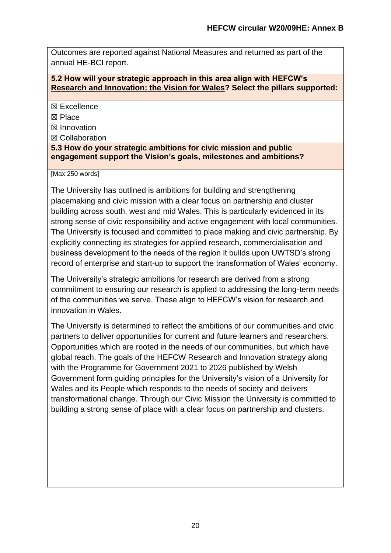Outcomes are reported against National Measures and returned as part of the annual HE-BCI report.

## **5.2 How will your strategic approach in this area align with HEFCW's [Research and Innovation: the Vision for Wales?](https://www.hefcw.ac.uk/documents/publications/hefcw_reports_and_statistics/Research%20and%20Innovation%20the%20vision%20for%20Wales%20English.pdf) Select the pillars supported:**

☒ Excellence

☒ Place

☒ Innovation

☒ Collaboration

**5.3 How do your strategic ambitions for civic mission and public engagement support the Vision's goals, milestones and ambitions?**

[Max 250 words]

The University has outlined is ambitions for building and strengthening placemaking and civic mission with a clear focus on partnership and cluster building across south, west and mid Wales. This is particularly evidenced in its strong sense of civic responsibility and active engagement with local communities. The University is focused and committed to place making and civic partnership. By explicitly connecting its strategies for applied research, commercialisation and business development to the needs of the region it builds upon UWTSD's strong record of enterprise and start-up to support the transformation of Wales' economy.

The University's strategic ambitions for research are derived from a strong commitment to ensuring our research is applied to addressing the long-term needs of the communities we serve. These align to HEFCW's vision for research and innovation in Wales.

The University is determined to reflect the ambitions of our communities and civic partners to deliver opportunities for current and future learners and researchers. Opportunities which are rooted in the needs of our communities, but which have global reach. The goals of the HEFCW Research and Innovation strategy along with the Programme for Government 2021 to 2026 published by Welsh Government form guiding principles for the University's vision of a University for Wales and its People which responds to the needs of society and delivers transformational change. Through our Civic Mission the University is committed to building a strong sense of place with a clear focus on partnership and clusters.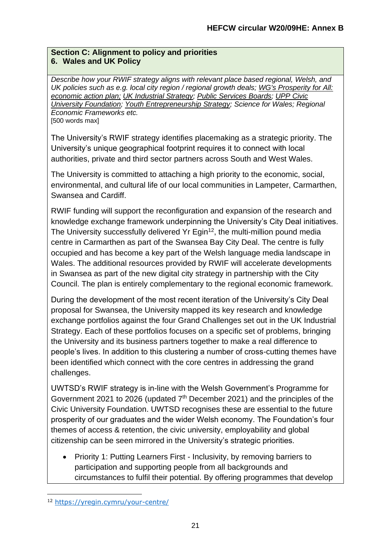## **Section C: Alignment to policy and priorities 6. Wales and UK Policy**

*Describe how your RWIF strategy aligns with relevant place based regional, Welsh, and UK policies such as e.g. local city region / regional growth deals; [WG's Prosperity for All:](http://gov.wales/topics/businessandeconomy/welsh-economy/economic-action-plan/?lang=en)  [economic action plan;](http://gov.wales/topics/businessandeconomy/welsh-economy/economic-action-plan/?lang=en) [UK Industrial Strategy;](https://www.gov.uk/government/topical-events/the-uks-industrial-strategy) [Public Services Boards;](https://gov.wales/public-services-boards) [UPP Civic](https://upp-foundation.org/civic-university-commission/)  [University Foundation;](https://upp-foundation.org/civic-university-commission/) [Youth Entrepreneurship Strategy;](https://businesswales.gov.wales/bigideas/welcome-partners-area/youth-entrepreneurship-strategy) Science for Wales; Regional Economic Frameworks etc.* [500 words max]

The University's RWIF strategy identifies placemaking as a strategic priority. The University's unique geographical footprint requires it to connect with local authorities, private and third sector partners across South and West Wales.

The University is committed to attaching a high priority to the economic, social, environmental, and cultural life of our local communities in Lampeter, Carmarthen, Swansea and Cardiff.

RWIF funding will support the reconfiguration and expansion of the research and knowledge exchange framework underpinning the University's City Deal initiatives. The University successfully delivered Yr Egin<sup>12</sup>, the multi-million pound media centre in Carmarthen as part of the Swansea Bay City Deal. The centre is fully occupied and has become a key part of the Welsh language media landscape in Wales. The additional resources provided by RWIF will accelerate developments in Swansea as part of the new digital city strategy in partnership with the City Council. The plan is entirely complementary to the regional economic framework.

During the development of the most recent iteration of the University's City Deal proposal for Swansea, the University mapped its key research and knowledge exchange portfolios against the four Grand Challenges set out in the UK Industrial Strategy. Each of these portfolios focuses on a specific set of problems, bringing the University and its business partners together to make a real difference to people's lives. In addition to this clustering a number of cross-cutting themes have been identified which connect with the core centres in addressing the grand challenges.

UWTSD's RWIF strategy is in-line with the Welsh Government's Programme for Government 2021 to 2026 (updated  $7<sup>th</sup>$  December 2021) and the principles of the Civic University Foundation. UWTSD recognises these are essential to the future prosperity of our graduates and the wider Welsh economy. The Foundation's four themes of access & retention, the civic university, employability and global citizenship can be seen mirrored in the University's strategic priorities.

• Priority 1: Putting Learners First - Inclusivity, by removing barriers to participation and supporting people from all backgrounds and circumstances to fulfil their potential. By offering programmes that develop

<sup>12</sup> <https://yregin.cymru/your-centre/>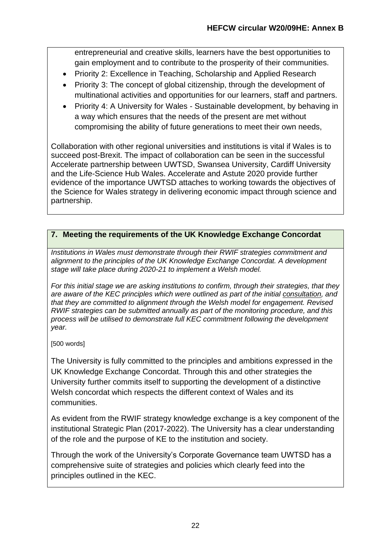entrepreneurial and creative skills, learners have the best opportunities to gain employment and to contribute to the prosperity of their communities.

- Priority 2: Excellence in Teaching, Scholarship and Applied Research
- Priority 3: The concept of global citizenship, through the development of multinational activities and opportunities for our learners, staff and partners.
- Priority 4: A University for Wales Sustainable development, by behaving in a way which ensures that the needs of the present are met without compromising the ability of future generations to meet their own needs,

Collaboration with other regional universities and institutions is vital if Wales is to succeed post-Brexit. The impact of collaboration can be seen in the successful Accelerate partnership between UWTSD, Swansea University, Cardiff University and the Life-Science Hub Wales. Accelerate and Astute 2020 provide further evidence of the importance UWTSD attaches to working towards the objectives of the Science for Wales strategy in delivering economic impact through science and partnership.

## **7. Meeting the requirements of the UK Knowledge Exchange Concordat**

*Institutions in Wales must demonstrate through their RWIF strategies commitment and alignment to the principles of the UK Knowledge Exchange Concordat. A development stage will take place during 2020-21 to implement a Welsh model.* 

*For this initial stage we are asking institutions to confirm, through their strategies, that they are aware of the KEC principles which were outlined as part of the initial [consultation,](https://www.universitiesuk.ac.uk/policy-and-analysis/reports/Pages/knowledge-exchange-concordat-consultation.aspx) and that they are committed to alignment through the Welsh model for engagement. Revised RWIF strategies can be submitted annually as part of the monitoring procedure, and this process will be utilised to demonstrate full KEC commitment following the development year.* 

[500 words]

The University is fully committed to the principles and ambitions expressed in the UK Knowledge Exchange Concordat. Through this and other strategies the University further commits itself to supporting the development of a distinctive Welsh concordat which respects the different context of Wales and its communities.

As evident from the RWIF strategy knowledge exchange is a key component of the institutional Strategic Plan (2017-2022). The University has a clear understanding of the role and the purpose of KE to the institution and society.

Through the work of the University's Corporate Governance team UWTSD has a comprehensive suite of strategies and policies which clearly feed into the principles outlined in the KEC.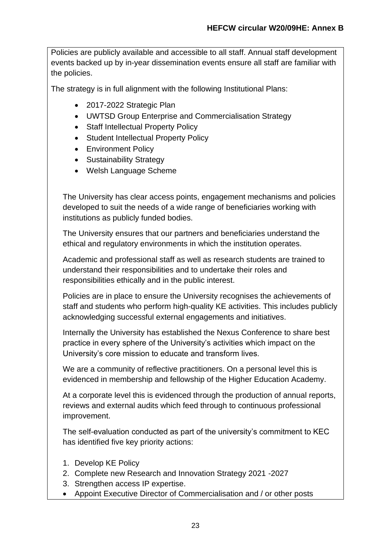Policies are publicly available and accessible to all staff. Annual staff development events backed up by in-year dissemination events ensure all staff are familiar with the policies.

The strategy is in full alignment with the following Institutional Plans:

- 2017-2022 Strategic Plan
- UWTSD Group Enterprise and Commercialisation Strategy
- Staff Intellectual Property Policy
- Student Intellectual Property Policy
- Environment Policy
- Sustainability Strategy
- Welsh Language Scheme

The University has clear access points, engagement mechanisms and policies developed to suit the needs of a wide range of beneficiaries working with institutions as publicly funded bodies.

The University ensures that our partners and beneficiaries understand the ethical and regulatory environments in which the institution operates.

Academic and professional staff as well as research students are trained to understand their responsibilities and to undertake their roles and responsibilities ethically and in the public interest.

Policies are in place to ensure the University recognises the achievements of staff and students who perform high-quality KE activities. This includes publicly acknowledging successful external engagements and initiatives.

Internally the University has established the Nexus Conference to share best practice in every sphere of the University's activities which impact on the University's core mission to educate and transform lives.

We are a community of reflective practitioners. On a personal level this is evidenced in membership and fellowship of the Higher Education Academy.

At a corporate level this is evidenced through the production of annual reports, reviews and external audits which feed through to continuous professional improvement.

The self-evaluation conducted as part of the university's commitment to KEC has identified five key priority actions:

- 1. Develop KE Policy
- 2. Complete new Research and Innovation Strategy 2021 -2027
- 3. Strengthen access IP expertise.
- Appoint Executive Director of Commercialisation and / or other posts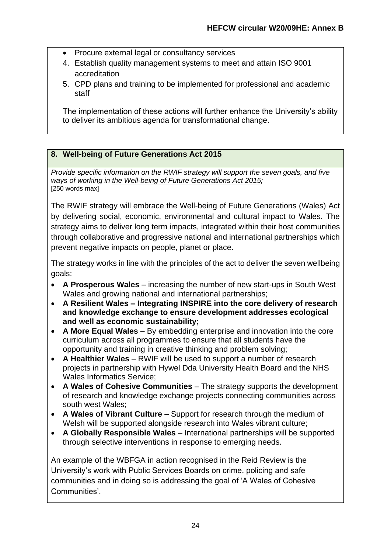- Procure external legal or consultancy services
- 4. Establish quality management systems to meet and attain ISO 9001 accreditation
- 5. CPD plans and training to be implemented for professional and academic staff

The implementation of these actions will further enhance the University's ability to deliver its ambitious agenda for transformational change.

## **8. Well-being of Future Generations Act 2015**

*Provide specific information on the RWIF strategy will support the seven goals, and five ways of working in [the Well-being of Future Generations Act 2015;](http://gov.wales/topics/people-and-communities/people/future-generations-act/?lang=en)* [250 words max]

The RWIF strategy will embrace the Well-being of Future Generations (Wales) Act by delivering social, economic, environmental and cultural impact to Wales. The strategy aims to deliver long term impacts, integrated within their host communities through collaborative and progressive national and international partnerships which prevent negative impacts on people, planet or place.

The strategy works in line with the principles of the act to deliver the seven wellbeing goals:

- **A Prosperous Wales** increasing the number of new start-ups in South West Wales and growing national and international partnerships;
- **A Resilient Wales – Integrating INSPIRE into the core delivery of research and knowledge exchange to ensure development addresses ecological and well as economic sustainability;**
- **A More Equal Wales** By embedding enterprise and innovation into the core curriculum across all programmes to ensure that all students have the opportunity and training in creative thinking and problem solving;
- **A Healthier Wales** RWIF will be used to support a number of research projects in partnership with Hywel Dda University Health Board and the NHS Wales Informatics Service;
- **A Wales of Cohesive Communities** The strategy supports the development of research and knowledge exchange projects connecting communities across south west Wales;
- **A Wales of Vibrant Culture** Support for research through the medium of Welsh will be supported alongside research into Wales vibrant culture;
- **A Globally Responsible Wales** International partnerships will be supported through selective interventions in response to emerging needs.

An example of the WBFGA in action recognised in the Reid Review is the University's work with Public Services Boards on crime, policing and safe communities and in doing so is addressing the goal of 'A Wales of Cohesive Communities'.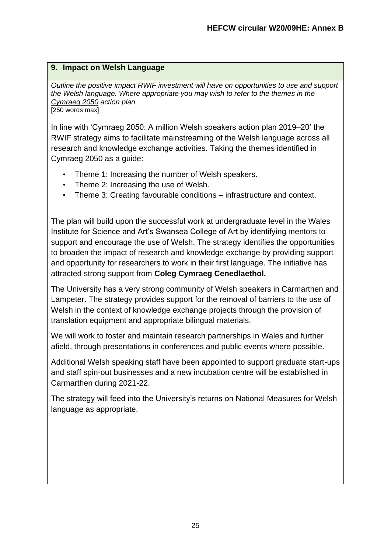## **9. Impact on Welsh Language**

*Outline the positive impact RWIF investment will have on opportunities to use and support the Welsh language. Where appropriate you may wish to refer to the themes in the [Cymraeg 2050](https://gov.wales/cymraeg-2050-welsh-language-strategy-action-plan-2019-2020) action plan.* [250 words max]

In line with 'Cymraeg 2050: A million Welsh speakers action plan 2019–20' the RWIF strategy aims to facilitate mainstreaming of the Welsh language across all research and knowledge exchange activities. Taking the themes identified in Cymraeg 2050 as a guide:

- Theme 1: Increasing the number of Welsh speakers.
- Theme 2: Increasing the use of Welsh.
- Theme 3: Creating favourable conditions infrastructure and context.

The plan will build upon the successful work at undergraduate level in the Wales Institute for Science and Art's Swansea College of Art by identifying mentors to support and encourage the use of Welsh. The strategy identifies the opportunities to broaden the impact of research and knowledge exchange by providing support and opportunity for researchers to work in their first language. The initiative has attracted strong support from **Coleg Cymraeg Cenedlaethol.**

The University has a very strong community of Welsh speakers in Carmarthen and Lampeter. The strategy provides support for the removal of barriers to the use of Welsh in the context of knowledge exchange projects through the provision of translation equipment and appropriate bilingual materials.

We will work to foster and maintain research partnerships in Wales and further afield, through presentations in conferences and public events where possible.

Additional Welsh speaking staff have been appointed to support graduate start-ups and staff spin-out businesses and a new incubation centre will be established in Carmarthen during 2021-22.

The strategy will feed into the University's returns on National Measures for Welsh language as appropriate.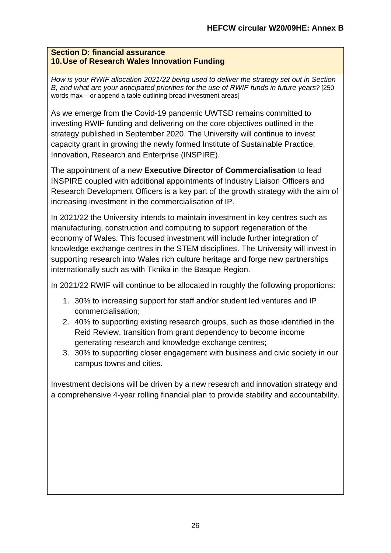#### **Section D: financial assurance 10.Use of Research Wales Innovation Funding**

*How is your RWIF allocation 2021/22 being used to deliver the strategy set out in Section B, and what are your anticipated priorities for the use of RWIF funds in future years?* [250 words max – or append a table outlining broad investment areas]

As we emerge from the Covid-19 pandemic UWTSD remains committed to investing RWIF funding and delivering on the core objectives outlined in the strategy published in September 2020. The University will continue to invest capacity grant in growing the newly formed Institute of Sustainable Practice, Innovation, Research and Enterprise (INSPIRE).

The appointment of a new **Executive Director of Commercialisation** to lead INSPIRE coupled with additional appointments of Industry Liaison Officers and Research Development Officers is a key part of the growth strategy with the aim of increasing investment in the commercialisation of IP.

In 2021/22 the University intends to maintain investment in key centres such as manufacturing, construction and computing to support regeneration of the economy of Wales. This focused investment will include further integration of knowledge exchange centres in the STEM disciplines. The University will invest in supporting research into Wales rich culture heritage and forge new partnerships internationally such as with Tknika in the Basque Region.

In 2021/22 RWIF will continue to be allocated in roughly the following proportions:

- 1. 30% to increasing support for staff and/or student led ventures and IP commercialisation;
- 2. 40% to supporting existing research groups, such as those identified in the Reid Review, transition from grant dependency to become income generating research and knowledge exchange centres;
- 3. 30% to supporting closer engagement with business and civic society in our campus towns and cities.

Investment decisions will be driven by a new research and innovation strategy and a comprehensive 4-year rolling financial plan to provide stability and accountability.